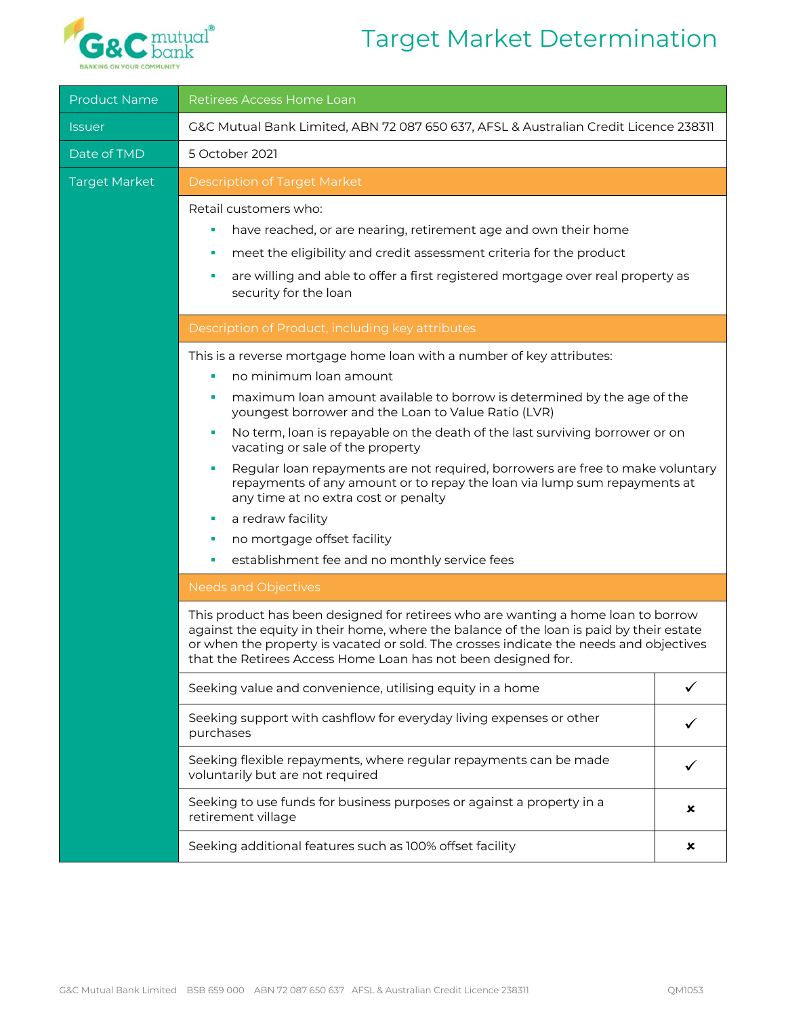## Target Market Determination



| <b>Product Name</b>         | Retirees Access Home Loan                                                                                                                                                                                                                                                                                                                                                                                                                                                                                                                                                                                                                                                                                                                                                                                                                                                                                                                                                                               |   |  |  |
|-----------------------------|---------------------------------------------------------------------------------------------------------------------------------------------------------------------------------------------------------------------------------------------------------------------------------------------------------------------------------------------------------------------------------------------------------------------------------------------------------------------------------------------------------------------------------------------------------------------------------------------------------------------------------------------------------------------------------------------------------------------------------------------------------------------------------------------------------------------------------------------------------------------------------------------------------------------------------------------------------------------------------------------------------|---|--|--|
| <i><u><b>Issuer</b></u></i> | G&C Mutual Bank Limited, ABN 72 087 650 637, AFSL & Australian Credit Licence 238311                                                                                                                                                                                                                                                                                                                                                                                                                                                                                                                                                                                                                                                                                                                                                                                                                                                                                                                    |   |  |  |
| Date of TMD                 | 5 October 2021                                                                                                                                                                                                                                                                                                                                                                                                                                                                                                                                                                                                                                                                                                                                                                                                                                                                                                                                                                                          |   |  |  |
| <b>Target Market</b>        | <b>Description of Target Market</b>                                                                                                                                                                                                                                                                                                                                                                                                                                                                                                                                                                                                                                                                                                                                                                                                                                                                                                                                                                     |   |  |  |
|                             | Retail customers who:<br>have reached, or are nearing, retirement age and own their home<br>٠<br>meet the eligibility and credit assessment criteria for the product<br>٠<br>are willing and able to offer a first registered mortgage over real property as<br>٠<br>security for the loan                                                                                                                                                                                                                                                                                                                                                                                                                                                                                                                                                                                                                                                                                                              |   |  |  |
|                             | Description of Product, including key attributes                                                                                                                                                                                                                                                                                                                                                                                                                                                                                                                                                                                                                                                                                                                                                                                                                                                                                                                                                        |   |  |  |
|                             | This is a reverse mortgage home loan with a number of key attributes:<br>no minimum loan amount<br>maximum loan amount available to borrow is determined by the age of the<br>п<br>youngest borrower and the Loan to Value Ratio (LVR)<br>No term, loan is repayable on the death of the last surviving borrower or on<br>п<br>vacating or sale of the property<br>Regular loan repayments are not required, borrowers are free to make voluntary<br>×<br>repayments of any amount or to repay the loan via lump sum repayments at<br>any time at no extra cost or penalty<br>a redraw facility<br>п<br>no mortgage offset facility<br>п<br>establishment fee and no monthly service fees<br>п<br><b>Needs and Objectives</b><br>This product has been designed for retirees who are wanting a home loan to borrow<br>against the equity in their home, where the balance of the loan is paid by their estate<br>or when the property is vacated or sold. The crosses indicate the needs and objectives |   |  |  |
|                             | that the Retirees Access Home Loan has not been designed for.<br>Seeking value and convenience, utilising equity in a home                                                                                                                                                                                                                                                                                                                                                                                                                                                                                                                                                                                                                                                                                                                                                                                                                                                                              |   |  |  |
|                             |                                                                                                                                                                                                                                                                                                                                                                                                                                                                                                                                                                                                                                                                                                                                                                                                                                                                                                                                                                                                         |   |  |  |
|                             | Seeking support with cashflow for everyday living expenses or other<br>purchases                                                                                                                                                                                                                                                                                                                                                                                                                                                                                                                                                                                                                                                                                                                                                                                                                                                                                                                        |   |  |  |
|                             | Seeking flexible repayments, where regular repayments can be made<br>voluntarily but are not required                                                                                                                                                                                                                                                                                                                                                                                                                                                                                                                                                                                                                                                                                                                                                                                                                                                                                                   |   |  |  |
|                             | Seeking to use funds for business purposes or against a property in a<br>×<br>retirement village                                                                                                                                                                                                                                                                                                                                                                                                                                                                                                                                                                                                                                                                                                                                                                                                                                                                                                        |   |  |  |
|                             | Seeking additional features such as 100% offset facility                                                                                                                                                                                                                                                                                                                                                                                                                                                                                                                                                                                                                                                                                                                                                                                                                                                                                                                                                | × |  |  |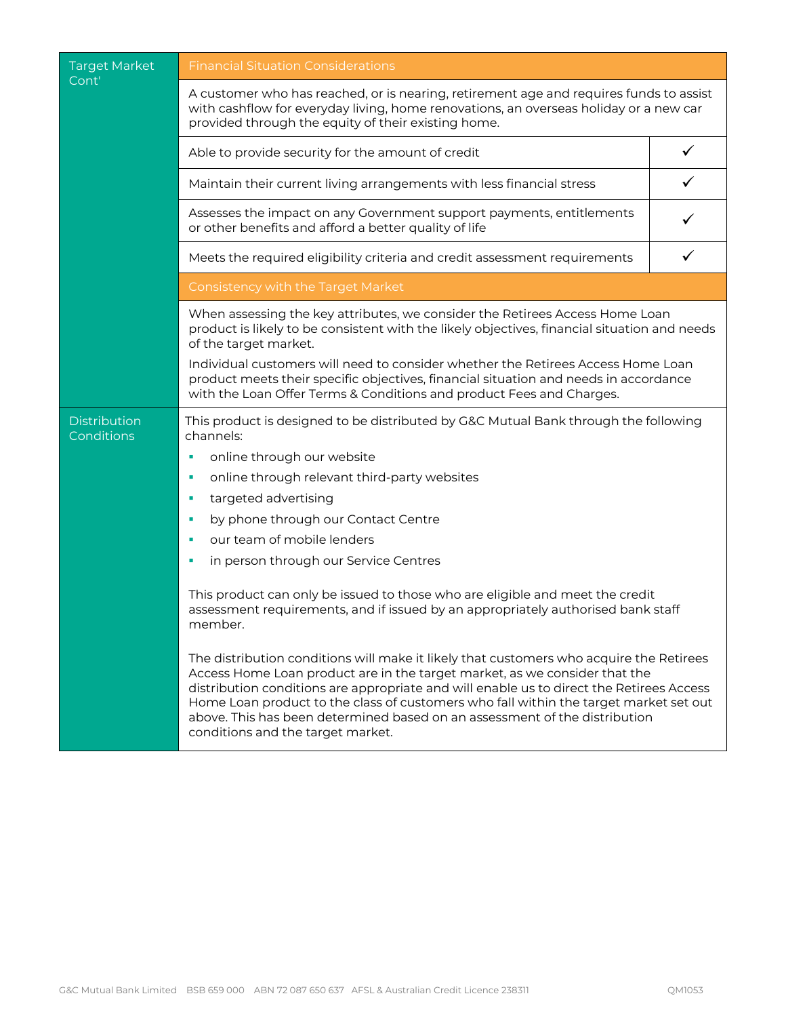| <b>Target Market</b>              | <b>Financial Situation Considerations</b>                                                                                                                                                                                                                                                                                                                                                                                                                                     |   |  |
|-----------------------------------|-------------------------------------------------------------------------------------------------------------------------------------------------------------------------------------------------------------------------------------------------------------------------------------------------------------------------------------------------------------------------------------------------------------------------------------------------------------------------------|---|--|
| Cont'                             | A customer who has reached, or is nearing, retirement age and requires funds to assist<br>with cashflow for everyday living, home renovations, an overseas holiday or a new car<br>provided through the equity of their existing home.                                                                                                                                                                                                                                        |   |  |
|                                   | Able to provide security for the amount of credit                                                                                                                                                                                                                                                                                                                                                                                                                             |   |  |
|                                   | Maintain their current living arrangements with less financial stress                                                                                                                                                                                                                                                                                                                                                                                                         |   |  |
|                                   | Assesses the impact on any Government support payments, entitlements<br>or other benefits and afford a better quality of life                                                                                                                                                                                                                                                                                                                                                 |   |  |
|                                   | Meets the required eligibility criteria and credit assessment requirements                                                                                                                                                                                                                                                                                                                                                                                                    | ✓ |  |
|                                   | Consistency with the Target Market                                                                                                                                                                                                                                                                                                                                                                                                                                            |   |  |
|                                   | When assessing the key attributes, we consider the Retirees Access Home Loan<br>product is likely to be consistent with the likely objectives, financial situation and needs<br>of the target market.                                                                                                                                                                                                                                                                         |   |  |
|                                   | Individual customers will need to consider whether the Retirees Access Home Loan<br>product meets their specific objectives, financial situation and needs in accordance<br>with the Loan Offer Terms & Conditions and product Fees and Charges.                                                                                                                                                                                                                              |   |  |
| <b>Distribution</b><br>Conditions | This product is designed to be distributed by G&C Mutual Bank through the following<br>channels:                                                                                                                                                                                                                                                                                                                                                                              |   |  |
|                                   | online through our website<br>I.                                                                                                                                                                                                                                                                                                                                                                                                                                              |   |  |
|                                   | online through relevant third-party websites<br>I.                                                                                                                                                                                                                                                                                                                                                                                                                            |   |  |
|                                   | targeted advertising<br>×                                                                                                                                                                                                                                                                                                                                                                                                                                                     |   |  |
|                                   | by phone through our Contact Centre<br>п                                                                                                                                                                                                                                                                                                                                                                                                                                      |   |  |
|                                   | our team of mobile lenders<br>×                                                                                                                                                                                                                                                                                                                                                                                                                                               |   |  |
|                                   | in person through our Service Centres<br>п                                                                                                                                                                                                                                                                                                                                                                                                                                    |   |  |
|                                   | This product can only be issued to those who are eligible and meet the credit<br>assessment requirements, and if issued by an appropriately authorised bank staff<br>member.                                                                                                                                                                                                                                                                                                  |   |  |
|                                   | The distribution conditions will make it likely that customers who acquire the Retirees<br>Access Home Loan product are in the target market, as we consider that the<br>distribution conditions are appropriate and will enable us to direct the Retirees Access<br>Home Loan product to the class of customers who fall within the target market set out<br>above. This has been determined based on an assessment of the distribution<br>conditions and the target market. |   |  |